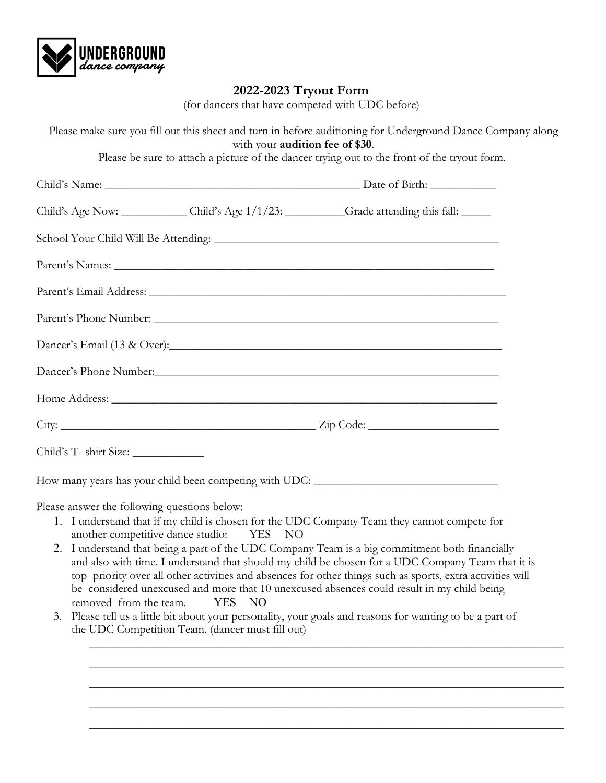

## **2022-2023 Tryout Form**

(for dancers that have competed with UDC before)

|                                                                                         | with your audition fee of \$30. | Please make sure you fill out this sheet and turn in before auditioning for Underground Dance Company along                                                                                                                                                                                     |
|-----------------------------------------------------------------------------------------|---------------------------------|-------------------------------------------------------------------------------------------------------------------------------------------------------------------------------------------------------------------------------------------------------------------------------------------------|
|                                                                                         |                                 | Please be sure to attach a picture of the dancer trying out to the front of the tryout form.                                                                                                                                                                                                    |
|                                                                                         |                                 |                                                                                                                                                                                                                                                                                                 |
|                                                                                         |                                 | Child's Age Now: Child's Age 1/1/23: Grade attending this fall:                                                                                                                                                                                                                                 |
|                                                                                         |                                 |                                                                                                                                                                                                                                                                                                 |
|                                                                                         |                                 |                                                                                                                                                                                                                                                                                                 |
|                                                                                         |                                 |                                                                                                                                                                                                                                                                                                 |
|                                                                                         |                                 |                                                                                                                                                                                                                                                                                                 |
|                                                                                         |                                 |                                                                                                                                                                                                                                                                                                 |
|                                                                                         |                                 |                                                                                                                                                                                                                                                                                                 |
|                                                                                         |                                 |                                                                                                                                                                                                                                                                                                 |
|                                                                                         |                                 |                                                                                                                                                                                                                                                                                                 |
|                                                                                         |                                 |                                                                                                                                                                                                                                                                                                 |
|                                                                                         |                                 | How many years has your child been competing with UDC: __________________________                                                                                                                                                                                                               |
| Please answer the following questions below:<br>another competitive dance studio:<br>2. | YES NO                          | 1. I understand that if my child is chosen for the UDC Company Team they cannot compete for<br>I understand that being a part of the UDC Company Team is a big commitment both financially<br>and also with time. I understand that should my child be chosen for a UDC Company Team that it is |

- top priority over all other activities and absences for other things such as sports, extra activities will be considered unexcused and more that 10 unexcused absences could result in my child being removed from the team. YES NO
- 3. Please tell us a little bit about your personality, your goals and reasons for wanting to be a part of the UDC Competition Team. (dancer must fill out)

\_\_\_\_\_\_\_\_\_\_\_\_\_\_\_\_\_\_\_\_\_\_\_\_\_\_\_\_\_\_\_\_\_\_\_\_\_\_\_\_\_\_\_\_\_\_\_\_\_\_\_\_\_\_\_\_\_\_\_\_\_\_\_\_\_\_\_\_\_\_\_\_\_\_\_\_\_\_\_\_

\_\_\_\_\_\_\_\_\_\_\_\_\_\_\_\_\_\_\_\_\_\_\_\_\_\_\_\_\_\_\_\_\_\_\_\_\_\_\_\_\_\_\_\_\_\_\_\_\_\_\_\_\_\_\_\_\_\_\_\_\_\_\_\_\_\_\_\_\_\_\_\_\_\_\_\_\_\_\_\_

\_\_\_\_\_\_\_\_\_\_\_\_\_\_\_\_\_\_\_\_\_\_\_\_\_\_\_\_\_\_\_\_\_\_\_\_\_\_\_\_\_\_\_\_\_\_\_\_\_\_\_\_\_\_\_\_\_\_\_\_\_\_\_\_\_\_\_\_\_\_\_\_\_\_\_\_\_\_\_\_

\_\_\_\_\_\_\_\_\_\_\_\_\_\_\_\_\_\_\_\_\_\_\_\_\_\_\_\_\_\_\_\_\_\_\_\_\_\_\_\_\_\_\_\_\_\_\_\_\_\_\_\_\_\_\_\_\_\_\_\_\_\_\_\_\_\_\_\_\_\_\_\_\_\_\_\_\_\_\_\_

\_\_\_\_\_\_\_\_\_\_\_\_\_\_\_\_\_\_\_\_\_\_\_\_\_\_\_\_\_\_\_\_\_\_\_\_\_\_\_\_\_\_\_\_\_\_\_\_\_\_\_\_\_\_\_\_\_\_\_\_\_\_\_\_\_\_\_\_\_\_\_\_\_\_\_\_\_\_\_\_